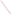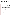# **Technical Factsheet on: TETRACHLOROETHYLENE**

[List of Contaminants](http://www.epa.gov/safewater/hfacts.html) 

 As part of the Drinking Water and Health pages, this fact sheet is part of a larger publication: **National Primary Drinking Water Regulations** 

### **Drinking Water Standards**

MCLG: zero mg/L MCL: 0.005 mg/L HAL(child): 1- to 10-day: 2 mg/L; Longer-term: 1 mg/L

### **Health Effects Summary**

 Acute: EPA has found tetrachloroethylene to potentially cause the following health effects from acute exposures at levels above the MCL: detrimental effects to liver, kidney, and central nervous system.

 consuming 1 liter of water per day: a one- to ten-day exposure to 2 mg/L; upto a 7-year exposure to 1 Drinking water levels which are considered "safe" for short-term exposures: For a 10-kg (22 lb.) child mg/L.

Chronic: Tetrachloroethylene has the potential to cause the following health effects from long-term exposures at levels above the MCL: detrimental effects to liver, kidney, and central nervous system.

 Cancer: There is some evidence that tetrachloroethylene may have the potential to cause cancer from a lifetime exposure at levels above the MCL.

### **Usage Patterns**

Production of tetrachloroethylene has decreased: from 736 million lbs. in 1978 to 405 million lbs in 1986.

In 1989 it was estimated that industries consumed tetrachloroethylene as follows: Dry cleaning and textile processing, 50%; chemical intermediate (mostly fluorocarbon F-113), 28%; industrial metal cleaning, 9%; exports, 10%; other, 3%.

The greatest use of tetrachloroethylene is in the textile industry for processing, finishing, sizing, and as a component of aerosol dry-cleaning products.

 protectant/fumigant. Other uses include: an intermediate in the synthesis of fluorocarbons, an insulating/cooling fluid in electric transformers, in typewriter correction fluids, as veterinary medication against worms, once used as grain

### **Release Patterns**

Major releases of tetrachloroethylene are: via vaporization losses from dry cleaning and industrial metal cleaning; wastewater, particularly from metal finishing, laundries, aluminum forming, organic chemical/plastics manufacturing and municipal treatment plants. It is also estimated that emissions account for approximately 90% of the tetrachloroethylene produced in the United States.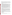Water pollution can occur from tetrachloroethylene leaching from vinyl liners in asbestos-cement water pipelines for water distribution, and during chlorination water treatment, where it can be formed in small quantities.

From 1987 to 1993, according to EPA's Toxic Chemical Release Inventory, tetrachloroethylene releases to land and water totalled over 1 million lbs., of which about 75 percent was to land. These releases were primarily from alkali and chlorine industries which use tetrachloroethylene in making other chemicals. The largest releases occurred in Louisiana and South Carolina.

## **Environmental Fate**

 If PCE is released to soil, it will be subject to evaporation into the atmosphere and to leaching to the on the reported and estimated Koc's (209 to 1685), tetrachloroethylene will be expected to exhibit low to medium mobility in soil and therefore may leach slowly to the groundwater. groundwater. Tetrachloroethylene was slightly adsorbed on sand and clay minerals. The Henry's adsorption coefficients were approximately in proportion to the organic content of the soil samples. Based

 There is evidence that slow biodegradation of PCE occurs under anaerobic conditions when the activation followed by 9-12 weeks ofacclimation). In a microcosm containing muck from an aquifer microorganisms have been acclimated. In experiments using continuous-flow laboratory methanogenic column with well acclimated mixed cultures and a 2-day detention time, there was an average PCE removal rate of 76%. Removal of 86% PCE occurred in a methanogenic biofilm column (8 weeks of recharge basin, 72.8% loss was observed in 21 days against 12-17% in controls. In one field ground water recharge project, degradation was observed in the 50 day recharge period.

If PCE is released to water, it will be subject to rapid volatilization with estimated half-lives ranging from <1 day to several weeks. Measured volatilization half-lives in a mesocosm simulating Narraganset Bay, RI were 11 days in winter, 25 days in spring, and 14 days in summer.

 PCE will not be expected to significantly biodegrade in water or adsorb to sediment. PCE will not be expected to significantly hydrolyze in soil or water under normal environmental conditions (half-life 9 months at 25 deg C).

 months to complete degradation in an hour. Some of the PCE in the atmosphere may be subject to washout in rain based on the solubility of PCE in water and the fact that PCE has been detected in rain. If PCE is released to the atmosphere, it will exist mainly in the gas-phase and it will be subject to photooxidation with estimates of degradation time scales ranging from an approximate half-life of 2

 Based on the reported and estimated BCF's, tetrachloroethylene will not be expected to significantly bioconcentrate in aquatic organisms. BCFs of 39 to 49 were measured in fish; a BCF of 226 was estimated from octanol water partition coefficient.

 pipelines with vinyl liners, and inhalation of contaminated occupational atmospheres in metal degreasing and dry cleaning industries. Major human exposure is from inhalation of contaminated urban air, especially near point sources such as dry cleaners, drinking contaminated water from contaminated aquifers and drinking water distributed in

### **Chemical/Physical Properties**

CAS Number: 127-18-4

Color/ Form/Odor: Colorless liquid with mildy sweet, chloroform-like odor; available in many forms, from worm pills to dry-cleaning grades containing various stabilizers.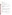## M.P.: -19 C B.P.: 121 C

Vapor Pressure: 18.47 mm Hg at 25 C

Octanol/Water Partition (Kow): Log Kow = 3.40

Density/Spec. Grav.: 1.62 at 20 C

Density/Spec. Grav.: 1.62 at 20 C<br>Solubility: 0.15 g/L of water at 25 C; Slightly soluble in water

Soil sorption coefficient: Koc = 210 (exp.) to 238 (est.); low to moderate mobility in soil<br>Odor/Taste Thresholds: Taste threshold in water is 0.3 mg/L

Odor/Taste Thresholds: Taste threshold in water is 0.3 mg/L

 Bioconcentration Factor: BCFs of 39 to 49 reported in fish; not expected to bioconcentrate in aquatic organisms.

Henry's Law Coefficient: N/A

 Percosolv, Perk, Perklone, Tetraguer, Tetralex, Tetravec Trade Names/Synonyms: Ethylene tetrachloride, Perchloroethylene, PCE, Ankilostin, Didakene, Fedalun, Nema, Perclene, Persec, Tetlen, Tetracap, Tetraleno, Tetropil, Antisal 1, Dow-per, Perawin, Perchlor,

#### **Other Regulatory Information**

Monitoring:

-- For Ground/Surface Water Sources:

Initial Frequency- 4 consecutive quarterly samples during initial compliance period (1993-1995)

 Repeat Frequency- If no detects in initial samples GW systems must take annual samples during 1996- 1998 compliance period and triennial samples thereafter; SW systems must take annual samples.

 -- Triggers - Return to quarterly monitoring if detect at > 0.0005 mg/L, until primacy State determines otherwise

**Analysis** 

EPA 600/4-88-039

502.2; 524.2; 551 Analysis<br>Reference Source Method Numbers **Reference Source Method Numbers** 

**Treatment/Best Available Technologies:** Granular Activated Charcoal and Packed Tower Aeration

#### **Toxic Release Inventory - Releases to Water and Land, 1987 to 1993 (in pounds):**

|                           | Water   | Land    |
|---------------------------|---------|---------|
| <b>TOTALS (in pounds)</b> | 297,602 | 750,104 |
| Top Five States*          |         |         |
| LA                        | 23,639  | 610,518 |
| <b>SC</b>                 | 104,728 |         |
| <b>NH</b>                 | 62.150  |         |
| <b>NC</b>                 | 42,192  | 13,102  |
| IL                        | 0       | 40.500  |